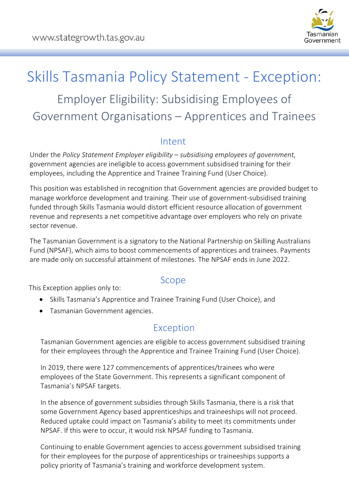

# Skills Tasmania Policy Statement - Exception: Employer Eligibility: Subsidising Employees of

Government Organisations – Apprentices and Trainees

#### Intent

Under the *Policy Statement Employer eligibility – subsidising employees of government,* government agencies are ineligible to access government subsidised training for their employees, including the Apprentice and Trainee Training Fund (User Choice).

This position was established in recognition that Government agencies are provided budget to manage workforce development and training. Their use of government-subsidised training funded through Skills Tasmania would distort efficient resource allocation of government revenue and represents a net competitive advantage over employers who rely on private sector revenue.

The Tasmanian Government is a signatory to the National Partnership on Skilling Australians Fund (NPSAF), which aims to boost commencements of apprentices and trainees. Payments are made only on successful attainment of milestones. The NPSAF ends in June 2022.

Scope This Exception applies only to:

- Skills Tasmania's Apprentice and Trainee Training Fund (User Choice), and
- Tasmanian Government agencies.

#### Exception

Tasmanian Government agencies are eligible to access government subsidised training for their employees through the Apprentice and Trainee Training Fund (User Choice).

In 2019, there were 127 commencements of apprentices/trainees who were employees of the State Government. This represents a significant component of Tasmania's NPSAF targets.

In the absence of government subsidies through Skills Tasmania, there is a risk that some Government Agency based apprenticeships and traineeships will not proceed. Reduced uptake could impact on Tasmania's ability to meet its commitments under NPSAF. If this were to occur, it would risk NPSAF funding to Tasmania.

Continuing to enable Government agencies to access government subsidised training for their employees for the purpose of apprenticeships or traineeships supports a policy priority of Tasmania's training and workforce development system.